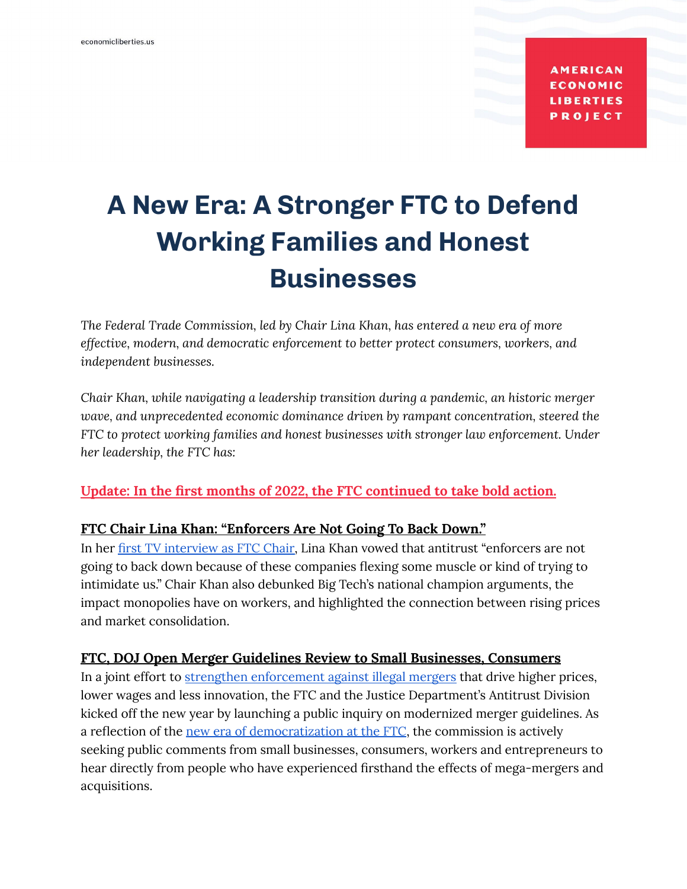**AMERICAN ECONOMIC LIBERTIES PROJECT** 

# **A New Era: A Stronger FTC to Defend Working Families and Honest Businesses**

*The Federal Trade Commission, led by Chair Lina Khan, has entered a new era of more effective, modern, and democratic enforcement to better protect consumers, workers, and independent businesses.*

*Chair Khan, while navigating a leadership transition during a pandemic, an historic merger wave, and unprecedented economic dominance driven by rampant concentration, steered the FTC to protect working families and honest businesses with stronger law enforcement. Under her leadership, the FTC has:*

**Update: In the first months of 2022, the FTC continued to take bold action.**

#### **FTC Chair Lina Khan: "Enforcers Are Not Going To Back Down."**

In her first TV [interview](https://www.youtube.com/watch?v=w1iYGE3PVYA) as FTC Chair, Lina Khan vowed that antitrust "enforcers are not going to back down because of these companies flexing some muscle or kind of trying to intimidate us." Chair Khan also debunked Big Tech's national champion arguments, the impact monopolies have on workers, and highlighted the connection between rising prices and market consolidation.

#### **FTC, DOJ Open Merger Guidelines Review to Small Businesses, Consumers**

In a joint effort to strengthen [enforcement](https://www.reuters.com/world/us/us-antitrust-enforcers-plan-toughen-merger-guidelines-2022-01-18/) against illegal mergers that drive higher prices, lower wages and less innovation, the FTC and the Justice Department's Antitrust Division kicked off the new year by launching a public inquiry on modernized merger guidelines. As a reflection of the new era of [democratization](https://www.economicliberties.us/our-work/factsheet-strengthening-democracy-at-the-ftc/) at the FTC, the commission is actively seeking public comments from small businesses, consumers, workers and entrepreneurs to hear directly from people who have experienced firsthand the effects of mega-mergers and acquisitions.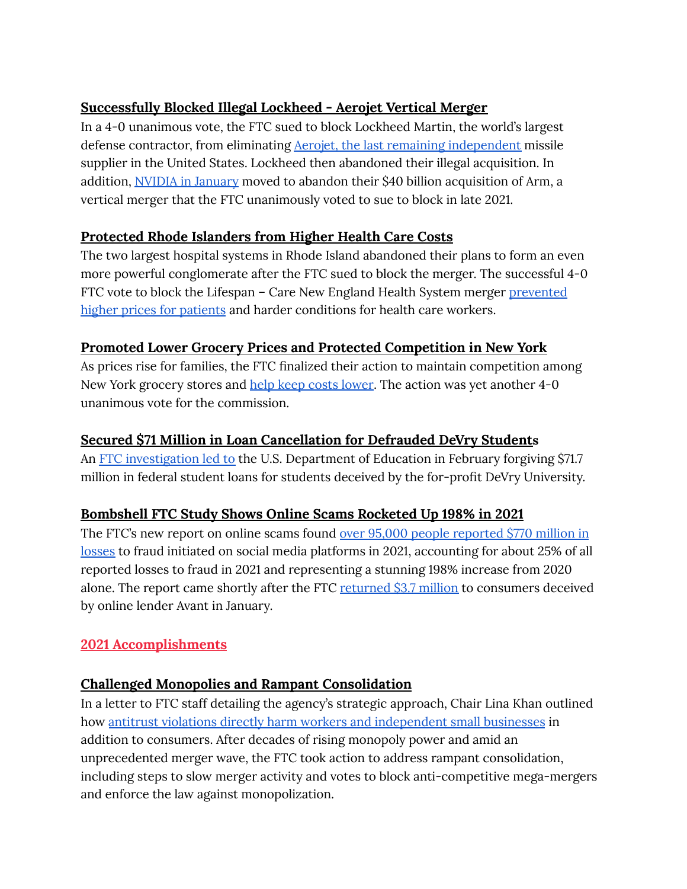## **Successfully Blocked Illegal Lockheed - Aerojet Vertical Merger**

In a 4-0 unanimous vote, the FTC sued to block Lockheed Martin, the world's largest defense contractor, from eliminating Aerojet, the last remaining [independent](https://breakingdefense.com/2021/03/lockheed-buying-aerojet-is-bad-for-defense/) missile supplier in the United States. Lockheed then abandoned their illegal acquisition. In addition, NVIDIA in [January](https://www.bloomberg.com/news/articles/2022-01-25/nvidia-is-said-to-quietly-prepare-to-abandon-takeover-of-arm?srnd=premium) moved to abandon their \$40 billion acquisition of Arm, a vertical merger that the FTC unanimously voted to sue to block in late 2021.

## **Protected Rhode Islanders from Higher Health Care Costs**

The two largest hospital systems in Rhode Island abandoned their plans to form an even more powerful conglomerate after the FTC sued to block the merger. The successful 4-0 FTC vote to block the Lifespan – Care New England Health System merger [prevented](https://www.economicliberties.us/press-release/ftc-vote-secured-by-chair-lina-khan-stops-higher-health-care-costs/) higher prices for [patients](https://www.economicliberties.us/press-release/ftc-vote-secured-by-chair-lina-khan-stops-higher-health-care-costs/) and harder conditions for health care workers.

## **Promoted Lower Grocery Prices and Protected Competition in New York**

As prices rise for families, the FTC finalized their action to maintain competition among New York grocery stores and help keep costs [lower](https://www.cnybj.com/ftc-final-order-requiring-tops-price-chopper-parent-sell-dozen-tops-stores/). The action was yet another 4-0 unanimous vote for the commission.

## **Secured \$71 Million in Loan Cancellation for Defrauded DeVry Students**

An FTC [investigation](https://www.nytimes.com/2022/02/16/business/student-loans-devry-university.html) led to the U.S. Department of Education in February forgiving \$71.7 million in federal student loans for students deceived by the for-profit DeVry University.

## **Bombshell FTC Study Shows Online Scams Rocketed Up 198% in 2021**

The FTC's new report on online scams found over 95,000 people [reported](https://www.ftc.gov/news-events/blogs/data-spotlight/2022/01/social-media-gold-mine-scammers-2021#footnote1) \$770 million in [losses](https://www.ftc.gov/news-events/blogs/data-spotlight/2022/01/social-media-gold-mine-scammers-2021#footnote1) to fraud initiated on social media platforms in 2021, accounting for about 25% of all reported losses to fraud in 2021 and representing a stunning 198% increase from 2020 alone. The report came shortly after the FTC [returned](https://www.ctpost.com/business/article/100-CT-consumers-get-paid-in-lending-company-16807323.php) \$3.7 million to consumers deceived by online lender Avant in January.

## **2021 Accomplishments**

## **Challenged Monopolies and Rampant Consolidation**

In a letter to FTC staff detailing the agency's strategic approach, Chair Lina Khan outlined how antitrust violations directly harm workers and [independent](https://www.ftc.gov/system/files/documents/public_statements/1596664/agency_priorities_memo_from_chair_lina_m_khan_9-22-21.pdf) small businesses in addition to consumers. After decades of rising monopoly power and amid an unprecedented merger wave, the FTC took action to address rampant consolidation, including steps to slow merger activity and votes to block anti-competitive mega-mergers and enforce the law against monopolization.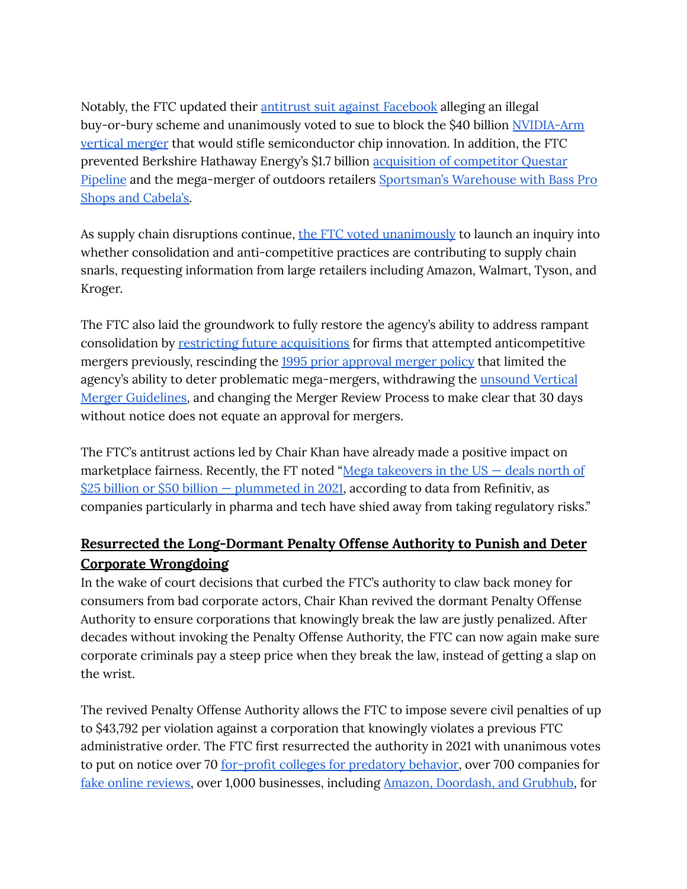Notably, the FTC updated their antitrust suit against [Facebook](https://www.reuters.com/legal/litigation/us-ftc-expected-file-amended-complaint-against-facebook-2021-08-19/) alleging an illegal buy-or-bury scheme and unanimously voted to sue to block the \$40 billion [NVIDIA-Arm](https://www.theverge.com/2021/12/2/22814633/nvidia-arm-purchase-semiconductor-ftc-40-billion-lawsuit-block-deal) [vertical](https://www.theverge.com/2021/12/2/22814633/nvidia-arm-purchase-semiconductor-ftc-40-billion-lawsuit-block-deal) merger that would stifle semiconductor chip innovation. In addition, the FTC prevented Berkshire Hathaway Energy's \$1.7 billion acquisition of [competitor](https://www.ftc.gov/news-events/press-releases/2021/07/statement-regarding-berkshire-hathaway-energys-termination) Questar [Pipeline](https://www.ftc.gov/news-events/press-releases/2021/07/statement-regarding-berkshire-hathaway-energys-termination) and the mega-merger of outdoors retailers [Sportsman's](https://www.reuters.com/markets/deals/sportsmans-warehouse-ends-merger-with-great-outdoors-over-ftc-clearance-concerns-2021-12-03/) Warehouse with Bass Pro Shops and [Cabela's.](https://www.reuters.com/markets/deals/sportsmans-warehouse-ends-merger-with-great-outdoors-over-ftc-clearance-concerns-2021-12-03/)

As supply chain disruptions continue, the FTC voted [unanimously](https://www.ftc.gov/news-events/press-releases/2021/11/ftc-launches-inquiry-supply-chain-disruptions) to launch an inquiry into whether consolidation and anti-competitive practices are contributing to supply chain snarls, requesting information from large retailers including Amazon, Walmart, Tyson, and Kroger.

The FTC also laid the groundwork to fully restore the agency's ability to address rampant consolidation by restricting future [acquisitions](https://www.marketwatch.com/story/ftc-to-restrict-future-deals-that-pursue-anticompetitive-mergers-11635191973) for firms that attempted anticompetitive mergers previously, rescinding the 1995 prior [approval](https://www.ftc.gov/news-events/press-releases/2021/07/ftc-rescinds-1995-policy-statement-limited-agencys-ability-deter) merger policy that limited the agency's ability to deter problematic mega-mergers, withdrawing the [unsound](https://www.ftc.gov/news-events/press-releases/2021/09/federal-trade-commission-withdraws-vertical-merger-guidelines) Vertical Merger [Guidelines,](https://www.ftc.gov/news-events/press-releases/2021/09/federal-trade-commission-withdraws-vertical-merger-guidelines) and changing the Merger Review Process to make clear that 30 days without notice does not equate an approval for mergers.

The FTC's antitrust actions led by Chair Khan have already made a positive impact on marketplace fairness. Recently, the FT noted "Mega [takeovers](https://www.ft.com/content/03a2df73-da6a-4bc5-b242-dd3ea71bcd6a) in the  $US -$  deals north of \$25 billion or \$50 billion — [plummeted](https://www.ft.com/content/03a2df73-da6a-4bc5-b242-dd3ea71bcd6a) in 2021, according to data from Refinitiv, as companies particularly in pharma and tech have shied away from taking regulatory risks."

# **Resurrected the Long-Dormant Penalty Offense Authority to Punish and Deter Corporate Wrongdoing**

In the wake of court decisions that curbed the FTC's authority to claw back money for consumers from bad corporate actors, Chair Khan revived the dormant Penalty Offense Authority to ensure corporations that knowingly break the law are justly penalized. After decades without invoking the Penalty Offense Authority, the FTC can now again make sure corporate criminals pay a steep price when they break the law, instead of getting a slap on the wrist.

The revived Penalty Offense Authority allows the FTC to impose severe civil penalties of up to \$43,792 per violation against a corporation that knowingly violates a previous FTC administrative order. The FTC first resurrected the authority in 2021 with unanimous votes to put on notice over 70 for-profit colleges for [predatory](https://www.foxbusiness.com/technology/federal-trade-commission-cracks-profit-education) behavior, over 700 companies for fake online [reviews,](https://nypost.com/2021/10/14/federal-trade-commission-to-crack-down-on-fake-online-business-reviews/) over 1,000 businesses, including Amazon, [Doordash,](https://www.marketwatch.com/story/ftc-warns-amazon-gig-companies-over-false-money-making-claims-11635281002) and Grubhub, for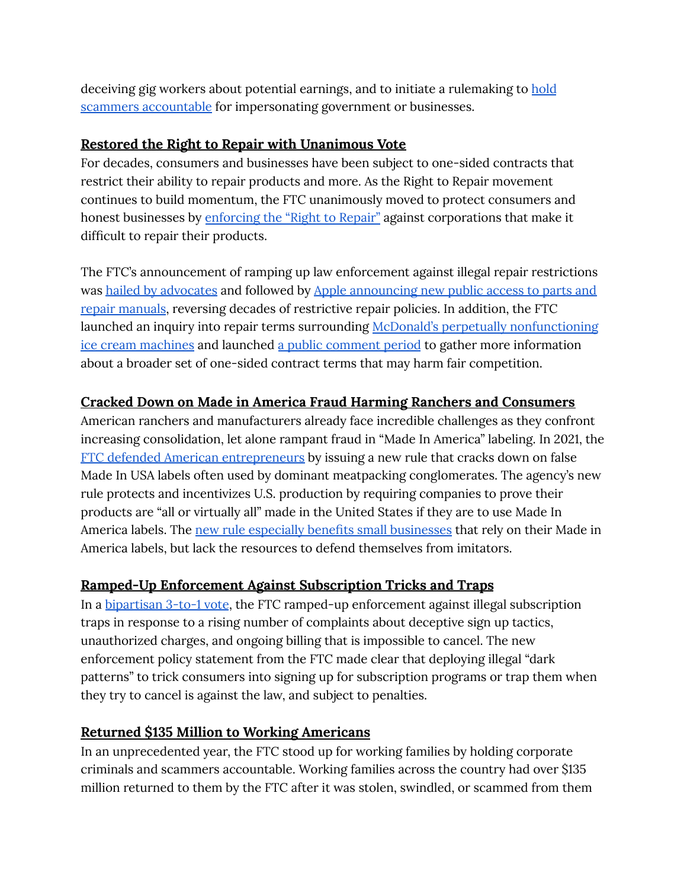deceiving gig workers about potential earnings, and to initiate a rulemaking to [hold](https://www.ftc.gov/news-events/press-releases/2021/12/ftc-launches-rulemaking-combat-sharp-spike-impersonation-fraud) scammers [accountable](https://www.ftc.gov/news-events/press-releases/2021/12/ftc-launches-rulemaking-combat-sharp-spike-impersonation-fraud) for impersonating government or businesses.

#### **Restored the Right to Repair with Unanimous Vote**

For decades, consumers and businesses have been subject to one-sided contracts that restrict their ability to repair products and more. As the Right to Repair movement continues to build momentum, the FTC unanimously moved to protect consumers and honest businesses by [enforcing](https://www.wired.com/story/ftc-votes-to-enforce-right-to-repair/) the "Right to Repair" against corporations that make it difficult to repair their products.

The FTC's announcement of ramping up law enforcement against illegal repair restrictions was hailed by [advocates](https://uspirg.org/news/usp/release-ftc-crack-down-companies-anti-repair-restrictions) and followed by Apple [announcing](https://www.protocol.com/policy/apple-right-to-repair-ftc) new public access to parts and repair [manuals](https://www.protocol.com/policy/apple-right-to-repair-ftc), reversing decades of restrictive repair policies. In addition, the FTC launched an inquiry into repair terms surrounding McDonald's perpetually [nonfunctioning](https://www.wsj.com/articles/mcdonalds-mcflurry-machine-is-broken-again-now-the-ftc-is-on-it-11630522266) ice cream [machines](https://www.wsj.com/articles/mcdonalds-mcflurry-machine-is-broken-again-now-the-ftc-is-on-it-11630522266) and launched a public [comment](https://www.regulations.gov/docket/FTC-2021-0036) period to gather more information about a broader set of one-sided contract terms that may harm fair competition.

## **Cracked Down on Made in America Fraud Harming Ranchers and Consumers**

American ranchers and manufacturers already face incredible challenges as they confront increasing consolidation, let alone rampant fraud in "Made In America" labeling. In 2021, the FTC defended American [entrepreneurs](https://www.natlawreview.com/article/ftc-issues-rule-to-deter-rampant-made-usa-fraud) by issuing a new rule that cracks down on false Made In USA labels often used by dominant meatpacking conglomerates. The agency's new rule protects and incentivizes U.S. production by requiring companies to prove their products are "all or virtually all" made in the United States if they are to use Made In America labels. The new rule especially benefits small [businesses](https://www.ftc.gov/news-events/press-releases/2021/07/ftc-issues-rule-deter-rampant-made-usa-fraud) that rely on their Made in America labels, but lack the resources to defend themselves from imitators.

## **Ramped-Up Enforcement Against Subscription Tricks and Traps**

In a [bipartisan](https://www.washingtonpost.com/business/2021/06/02/automatic-renewals-ftc-subscriptions/) 3-to-1 vote, the FTC ramped-up enforcement against illegal subscription traps in response to a rising number of complaints about deceptive sign up tactics, unauthorized charges, and ongoing billing that is impossible to cancel. The new enforcement policy statement from the FTC made clear that deploying illegal "dark patterns" to trick consumers into signing up for subscription programs or trap them when they try to cancel is against the law, and subject to penalties.

#### **Returned \$135 Million to Working Americans**

In an unprecedented year, the FTC stood up for working families by holding corporate criminals and scammers accountable. Working families across the country had over \$135 million returned to them by the FTC after it was stolen, swindled, or scammed from them